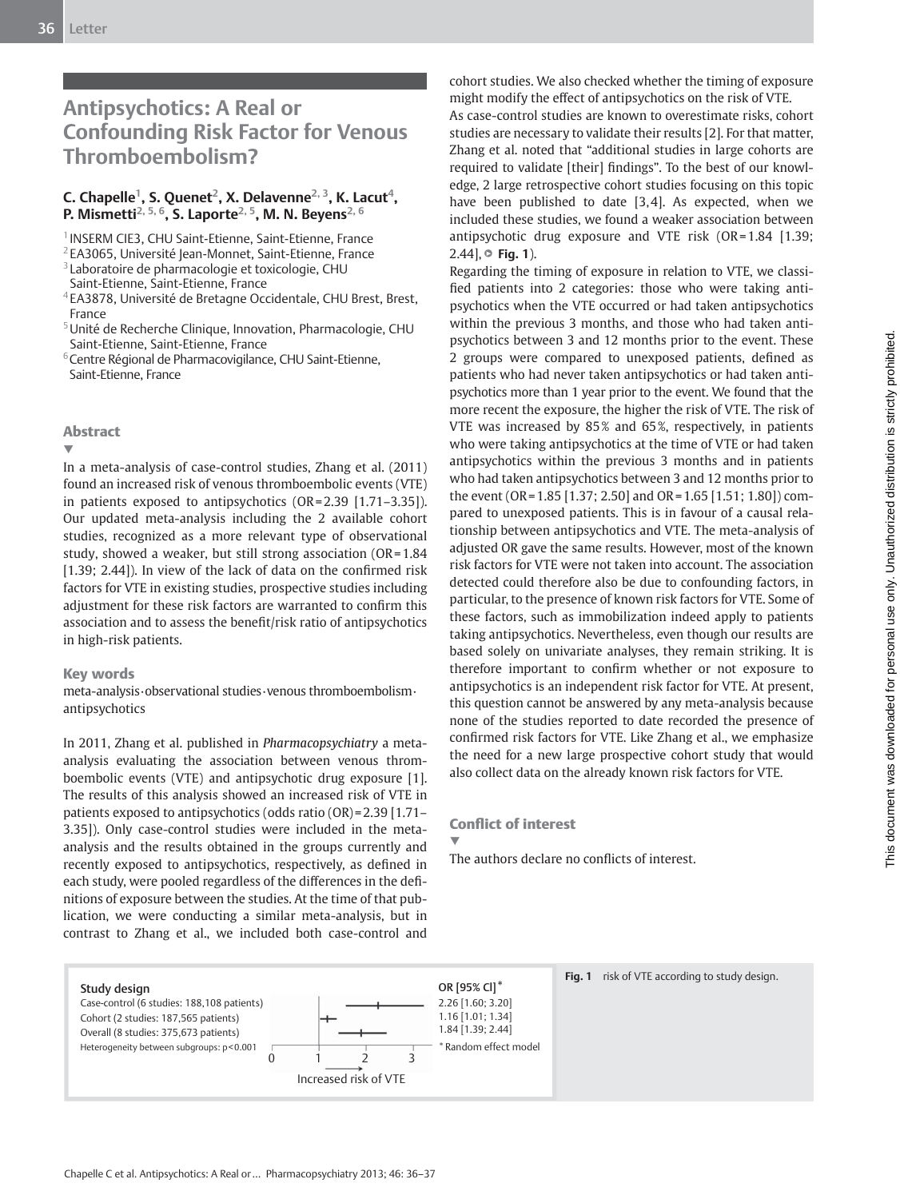# **Antipsychotics: A Real or Confounding Risk Factor for Venous Thromboembolism?**

## C. Chapelle<sup>1</sup>, S. Quenet<sup>2</sup>, X. Delavenne<sup>2, 3</sup>, K. Lacut<sup>4</sup>, **P. Mismetti<sup>2, 5, 6</sup>, S. Laporte<sup>2, 5</sup>, M. N. Beyens<sup>2, 6</sup>**

<sup>1</sup> INSERM CIE3, CHU Saint-Etienne, Saint-Etienne, France

<sup>2</sup> EA3065, Université Jean-Monnet, Saint-Etienne, France

<sup>3</sup> Laboratoire de pharmacologie et toxicologie, CHU

- 4 EA3878, Université de Bretagne Occidentale, CHU Brest, Brest, France
- 5 Unité de Recherche Clinique, Innovation, Pharmacologie, CHU Saint-Etienne, Saint-Etienne, France

<sup>6</sup> Centre Régional de Pharmacovigilance, CHU Saint-Etienne, Saint-Etienne, France

### Abstract

▼

 In a meta-analysis of case-control studies, Zhang et al. (2011) found an increased risk of venous thromboembolic events (VTE) in patients exposed to antipsychotics (OR = 2.39 [1.71–3.35]). Our updated meta-analysis including the 2 available cohort studies, recognized as a more relevant type of observational study, showed a weaker, but still strong association (OR = 1.84  $[1.39; 2.44]$ ). In view of the lack of data on the confirmed risk factors for VTE in existing studies, prospective studies including adjustment for these risk factors are warranted to confirm this association and to assess the benefit/risk ratio of antipsychotics in high-risk patients.

#### Key words

 meta-analysis · observational studies · venous thromboembolism · antipsychotics

 In 2011, Zhang et al. published in *Pharmacopsychiatry* a metaanalysis evaluating the association between venous thromboembolic events (VTE) and antipsychotic drug exposure [1]. The results of this analysis showed an increased risk of VTE in patients exposed to antipsychotics (odds ratio (OR) = 2.39 [1.71– 3.35]). Only case-control studies were included in the metaanalysis and the results obtained in the groups currently and recently exposed to antipsychotics, respectively, as defined in each study, were pooled regardless of the differences in the definitions of exposure between the studies. At the time of that publication, we were conducting a similar meta-analysis, but in contrast to Zhang et al., we included both case-control and

cohort studies. We also checked whether the timing of exposure might modify the effect of antipsychotics on the risk of VTE.

 As case-control studies are known to overestimate risks, cohort studies are necessary to validate their results [2]. For that matter, Zhang et al. noted that "additional studies in large cohorts are required to validate [their] findings". To the best of our knowledge, 2 large retrospective cohort studies focusing on this topic have been published to date  $[3, 4]$ . As expected, when we included these studies, we found a weaker association between antipsychotic drug exposure and VTE risk (OR = 1.84 [1.39; 2.44<sup> $\parallel$ </sup> **∂ Fig. 1**).

 Regarding the timing of exposure in relation to VTE, we classified patients into 2 categories: those who were taking antipsychotics when the VTE occurred or had taken antipsychotics within the previous 3 months, and those who had taken antipsychotics between 3 and 12 months prior to the event. These 2 groups were compared to unexposed patients, defined as patients who had never taken antipsychotics or had taken antipsychotics more than 1 year prior to the event. We found that the more recent the exposure, the higher the risk of VTE. The risk of VTE was increased by 85% and 65%, respectively, in patients who were taking antipsychotics at the time of VTE or had taken antipsychotics within the previous 3 months and in patients who had taken antipsychotics between 3 and 12 months prior to the event (OR = 1.85 [1.37; 2.50] and OR = 1.65 [1.51; 1.80]) compared to unexposed patients. This is in favour of a causal relationship between antipsychotics and VTE. The meta-analysis of adjusted OR gave the same results. However, most of the known risk factors for VTE were not taken into account. The association detected could therefore also be due to confounding factors, in particular, to the presence of known risk factors for VTE. Some of these factors, such as immobilization indeed apply to patients taking antipsychotics. Nevertheless, even though our results are based solely on univariate analyses, they remain striking. It is therefore important to confirm whether or not exposure to antipsychotics is an independent risk factor for VTE. At present, this question cannot be answered by any meta-analysis because none of the studies reported to date recorded the presence of confirmed risk factors for VTE. Like Zhang et al., we emphasize the need for a new large prospective cohort study that would also collect data on the already known risk factors for VTE.

## **Conflict of interest**

▼ The authors declare no conflicts of interest.



Saint-Etienne, Saint-Etienne, France